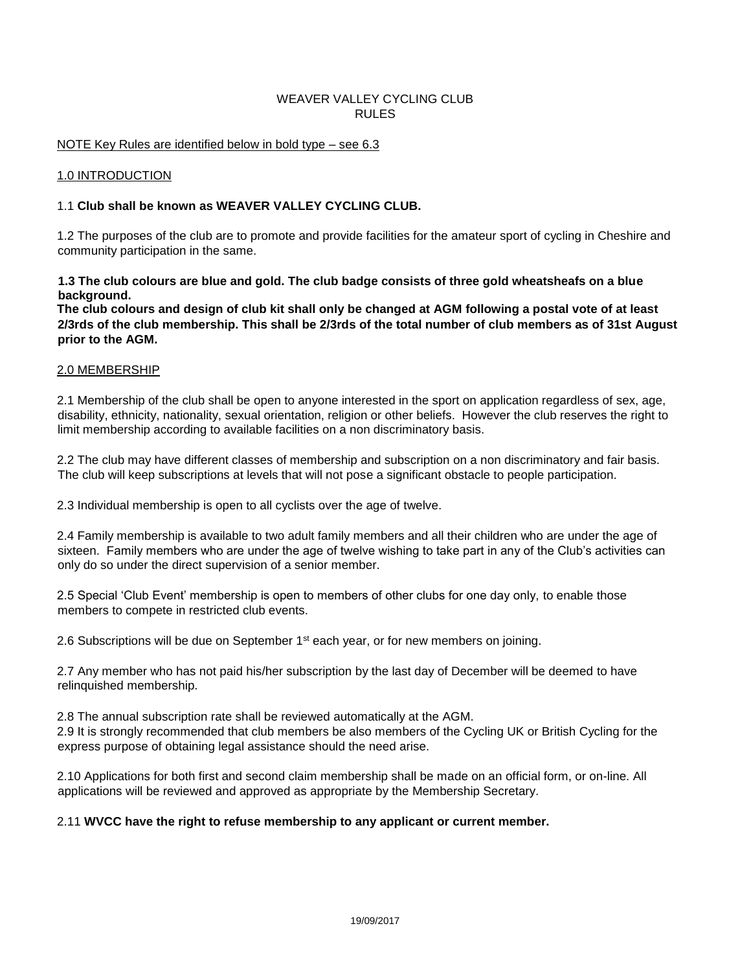# WEAVER VALLEY CYCLING CLUB RULES

## NOTE Key Rules are identified below in bold type – see 6.3

#### 1.0 INTRODUCTION

## 1.1 **Club shall be known as WEAVER VALLEY CYCLING CLUB.**

1.2 The purposes of the club are to promote and provide facilities for the amateur sport of cycling in Cheshire and community participation in the same.

**1.3 The club colours are blue and gold. The club badge consists of three gold wheatsheafs on a blue background.** 

**The club colours and design of club kit shall only be changed at AGM following a postal vote of at least 2/3rds of the club membership. This shall be 2/3rds of the total number of club members as of 31st August prior to the AGM.** 

#### 2.0 MEMBERSHIP

2.1 Membership of the club shall be open to anyone interested in the sport on application regardless of sex, age, disability, ethnicity, nationality, sexual orientation, religion or other beliefs. However the club reserves the right to limit membership according to available facilities on a non discriminatory basis.

2.2 The club may have different classes of membership and subscription on a non discriminatory and fair basis. The club will keep subscriptions at levels that will not pose a significant obstacle to people participation.

2.3 Individual membership is open to all cyclists over the age of twelve.

2.4 Family membership is available to two adult family members and all their children who are under the age of sixteen. Family members who are under the age of twelve wishing to take part in any of the Club's activities can only do so under the direct supervision of a senior member.

2.5 Special 'Club Event' membership is open to members of other clubs for one day only, to enable those members to compete in restricted club events.

2.6 Subscriptions will be due on September  $1<sup>st</sup>$  each year, or for new members on joining.

2.7 Any member who has not paid his/her subscription by the last day of December will be deemed to have relinquished membership.

2.8 The annual subscription rate shall be reviewed automatically at the AGM.

2.9 It is strongly recommended that club members be also members of the Cycling UK or British Cycling for the express purpose of obtaining legal assistance should the need arise.

2.10 Applications for both first and second claim membership shall be made on an official form, or on-line. All applications will be reviewed and approved as appropriate by the Membership Secretary.

#### 2.11 **WVCC have the right to refuse membership to any applicant or current member.**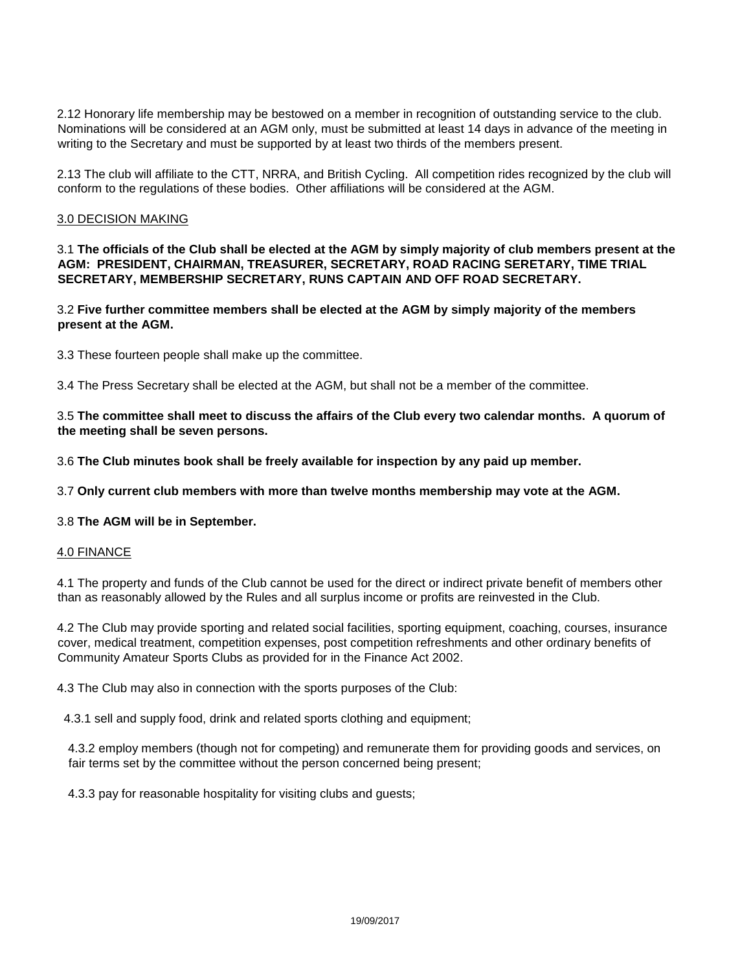2.12 Honorary life membership may be bestowed on a member in recognition of outstanding service to the club. Nominations will be considered at an AGM only, must be submitted at least 14 days in advance of the meeting in writing to the Secretary and must be supported by at least two thirds of the members present.

2.13 The club will affiliate to the CTT, NRRA, and British Cycling. All competition rides recognized by the club will conform to the regulations of these bodies. Other affiliations will be considered at the AGM.

### 3.0 DECISION MAKING

3.1 **The officials of the Club shall be elected at the AGM by simply majority of club members present at the AGM: PRESIDENT, CHAIRMAN, TREASURER, SECRETARY, ROAD RACING SERETARY, TIME TRIAL SECRETARY, MEMBERSHIP SECRETARY, RUNS CAPTAIN AND OFF ROAD SECRETARY.**

3.2 **Five further committee members shall be elected at the AGM by simply majority of the members present at the AGM.**

3.3 These fourteen people shall make up the committee.

3.4 The Press Secretary shall be elected at the AGM, but shall not be a member of the committee.

3.5 **The committee shall meet to discuss the affairs of the Club every two calendar months. A quorum of the meeting shall be seven persons.**

3.6 **The Club minutes book shall be freely available for inspection by any paid up member.**

3.7 **Only current club members with more than twelve months membership may vote at the AGM.**

#### 3.8 **The AGM will be in September.**

#### 4.0 FINANCE

4.1 The property and funds of the Club cannot be used for the direct or indirect private benefit of members other than as reasonably allowed by the Rules and all surplus income or profits are reinvested in the Club.

4.2 The Club may provide sporting and related social facilities, sporting equipment, coaching, courses, insurance cover, medical treatment, competition expenses, post competition refreshments and other ordinary benefits of Community Amateur Sports Clubs as provided for in the Finance Act 2002.

4.3 The Club may also in connection with the sports purposes of the Club:

4.3.1 sell and supply food, drink and related sports clothing and equipment;

4.3.2 employ members (though not for competing) and remunerate them for providing goods and services, on fair terms set by the committee without the person concerned being present;

4.3.3 pay for reasonable hospitality for visiting clubs and guests;